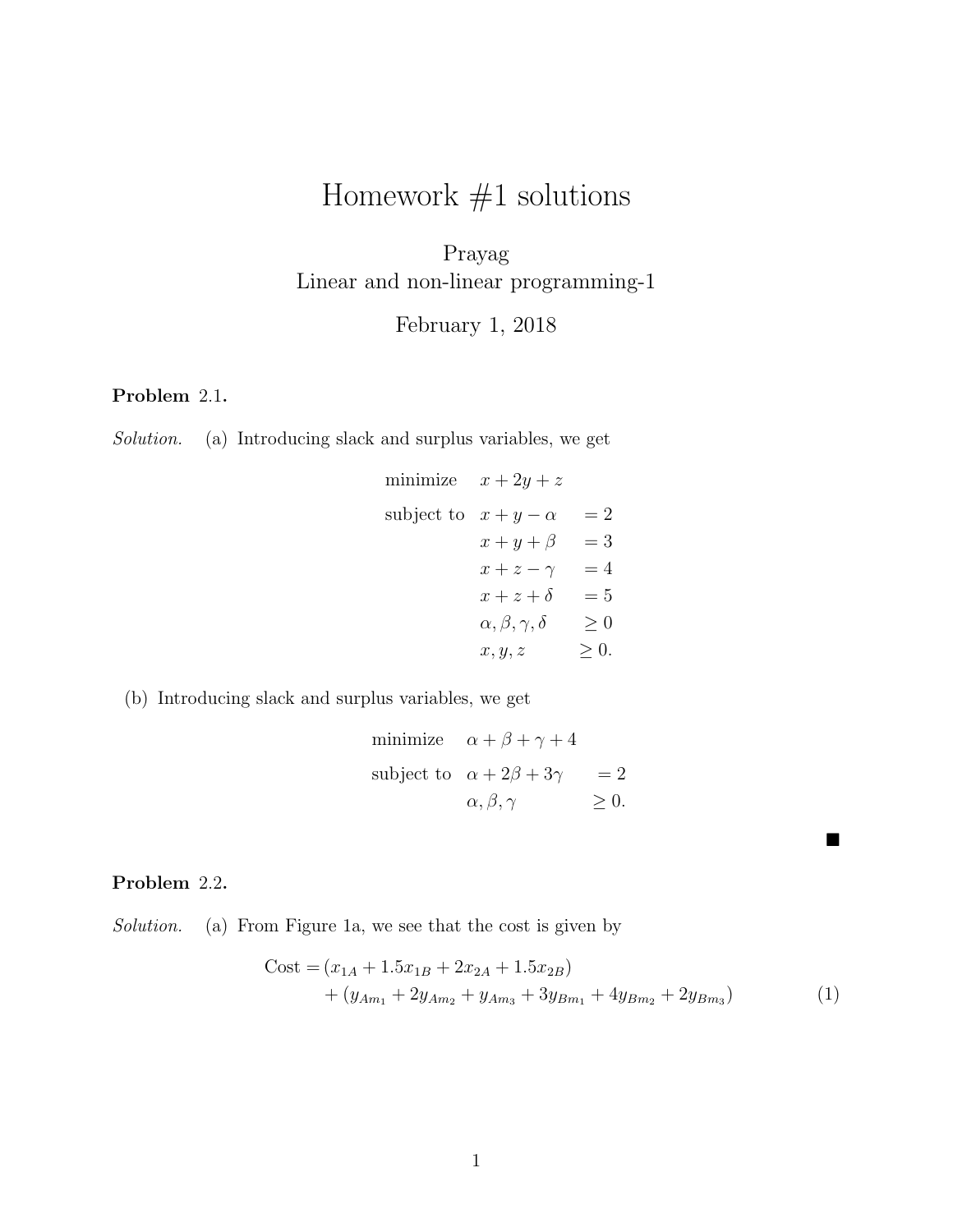# Homework  $#1$  solutions

Prayag Linear and non-linear programming-1

February 1, 2018

# Problem 2.1.

Solution. (a) Introducing slack and surplus variables, we get

minimize 
$$
x + 2y + z
$$
  
\nsubject to  $x + y - \alpha = 2$   
\n $x + y + \beta = 3$   
\n $x + z - \gamma = 4$   
\n $x + z + \delta = 5$   
\n $\alpha, \beta, \gamma, \delta \ge 0$   
\n $x, y, z \ge 0$ .

(b) Introducing slack and surplus variables, we get

minimize 
$$
\alpha + \beta + \gamma + 4
$$
  
\nsubject to  $\alpha + 2\beta + 3\gamma = 2$   
\n $\alpha, \beta, \gamma \ge 0$ .

## Problem 2.2.

Solution. (a) From Figure 1a, we see that the cost is given by

Cost = 
$$
(x_{1A} + 1.5x_{1B} + 2x_{2A} + 1.5x_{2B})
$$
  
+  $(y_{Am_1} + 2y_{Am_2} + y_{Am_3} + 3y_{Bm_1} + 4y_{Bm_2} + 2y_{Bm_3})$  (1)

 $\blacksquare$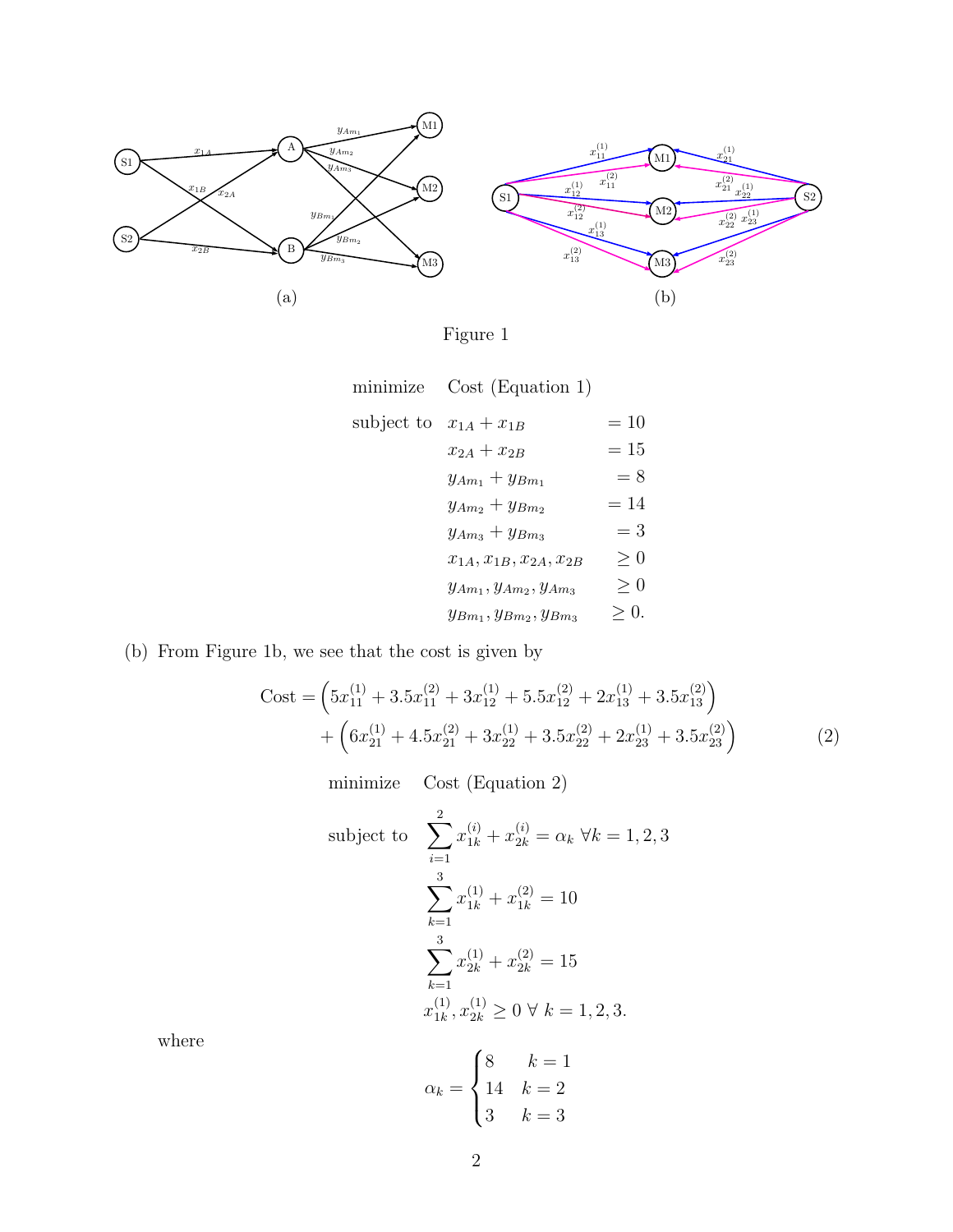

Figure 1

| minimize | Cost (Equation 1) |  |
|----------|-------------------|--|
|          |                   |  |

| subject to $x_{1A} + x_{1B}$ |                                  | $=10$ |
|------------------------------|----------------------------------|-------|
|                              | $x_{2A} + x_{2B}$                | $=15$ |
|                              | $y_{Am_1} + y_{Bm_1}$            | $= 8$ |
|                              | $y_{Am_2} + y_{Bm_2}$            | $=14$ |
|                              | $y_{Am_3} + y_{Bm_3}$            | $=$ 3 |
|                              | $x_{1A}, x_{1B}, x_{2A}, x_{2B}$ | > 0   |
|                              | $y_{Am_1}, y_{Am_2}, y_{Am_3}$   | > 0   |
|                              | $y_{Bm_1}, y_{Bm_2}, y_{Bm_3}$   | >0.   |

## (b) From Figure 1b, we see that the cost is given by

Cost = 
$$
\left(5x_{11}^{(1)} + 3.5x_{11}^{(2)} + 3x_{12}^{(1)} + 5.5x_{12}^{(2)} + 2x_{13}^{(1)} + 3.5x_{13}^{(2)}\right) + \left(6x_{21}^{(1)} + 4.5x_{21}^{(2)} + 3x_{22}^{(1)} + 3.5x_{22}^{(2)} + 2x_{23}^{(1)} + 3.5x_{23}^{(2)}\right)
$$
(2)

minimize Cost (Equation 2)

subject to 
$$
\sum_{i=1}^{2} x_{1k}^{(i)} + x_{2k}^{(i)} = \alpha_k \ \forall k = 1, 2, 3
$$

$$
\sum_{k=1}^{3} x_{1k}^{(1)} + x_{1k}^{(2)} = 10
$$

$$
\sum_{k=1}^{3} x_{2k}^{(1)} + x_{2k}^{(2)} = 15
$$

$$
x_{1k}^{(1)}, x_{2k}^{(1)} \ge 0 \ \forall \ k = 1, 2, 3.
$$

where

$$
\alpha_k = \begin{cases} 8 & k = 1 \\ 14 & k = 2 \\ 3 & k = 3 \end{cases}
$$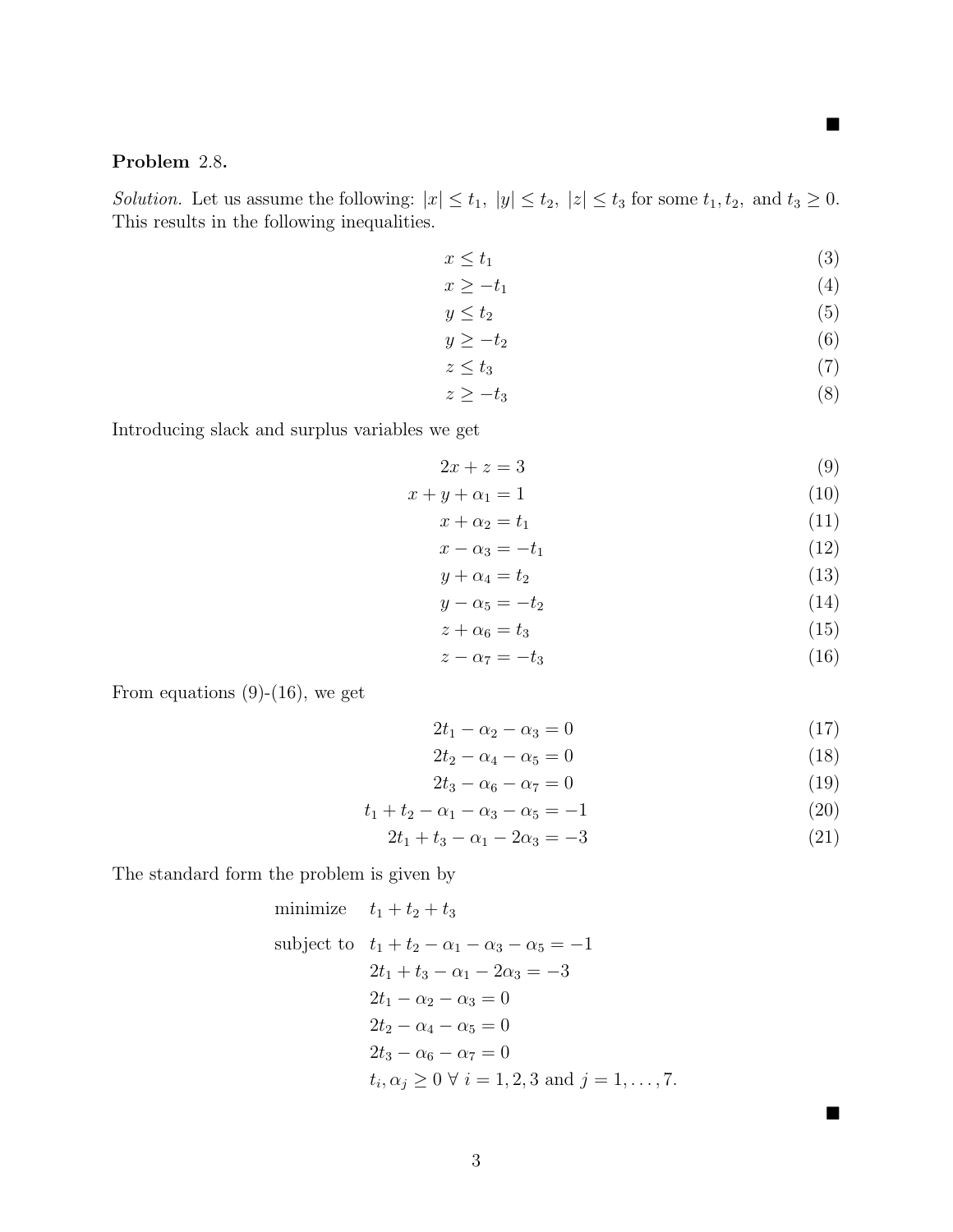#### П

 $\blacksquare$ 

## Problem 2.8.

Solution. Let us assume the following:  $|x| \le t_1$ ,  $|y| \le t_2$ ,  $|z| \le t_3$  for some  $t_1, t_2$ , and  $t_3 \ge 0$ . This results in the following inequalities.

$$
x \le t_1 \tag{3}
$$

$$
x \ge -t_1 \tag{4}
$$

$$
y \le t_2 \tag{5}
$$

$$
y \ge -t_2 \tag{6}
$$

$$
z \le t_3 \tag{7}
$$

$$
z \ge -t_3 \tag{8}
$$

Introducing slack and surplus variables we get

$$
2x + z = 3 \tag{9}
$$

$$
x + y + \alpha_1 = 1 \tag{10}
$$

$$
x + \alpha_2 = t_1 \tag{11}
$$

$$
x - \alpha_3 = -t_1 \tag{12}
$$

$$
y + \alpha_4 = t_2 \tag{13}
$$

$$
y - \alpha_5 = -t_2 \tag{14}
$$

$$
z + \alpha_6 = t_3 \tag{15}
$$

$$
z - \alpha_7 = -t_3 \tag{16}
$$

From equations  $(9)-(16)$ , we get

$$
2t_1 - \alpha_2 - \alpha_3 = 0 \tag{17}
$$

$$
2t_2 - \alpha_4 - \alpha_5 = 0 \tag{18}
$$

$$
2t_3 - \alpha_6 - \alpha_7 = 0 \tag{19}
$$

$$
t_1 + t_2 - \alpha_1 - \alpha_3 - \alpha_5 = -1 \tag{20}
$$

$$
2t_1 + t_3 - \alpha_1 - 2\alpha_3 = -3 \tag{21}
$$

The standard form the problem is given by

minimize 
$$
t_1 + t_2 + t_3
$$
  
\nsubject to  $t_1 + t_2 - \alpha_1 - \alpha_3 - \alpha_5 = -1$   
\n $2t_1 + t_3 - \alpha_1 - 2\alpha_3 = -3$   
\n $2t_1 - \alpha_2 - \alpha_3 = 0$   
\n $2t_2 - \alpha_4 - \alpha_5 = 0$   
\n $2t_3 - \alpha_6 - \alpha_7 = 0$   
\n $t_i, \alpha_j \ge 0 \ \forall \ i = 1, 2, 3 \text{ and } j = 1, ..., 7.$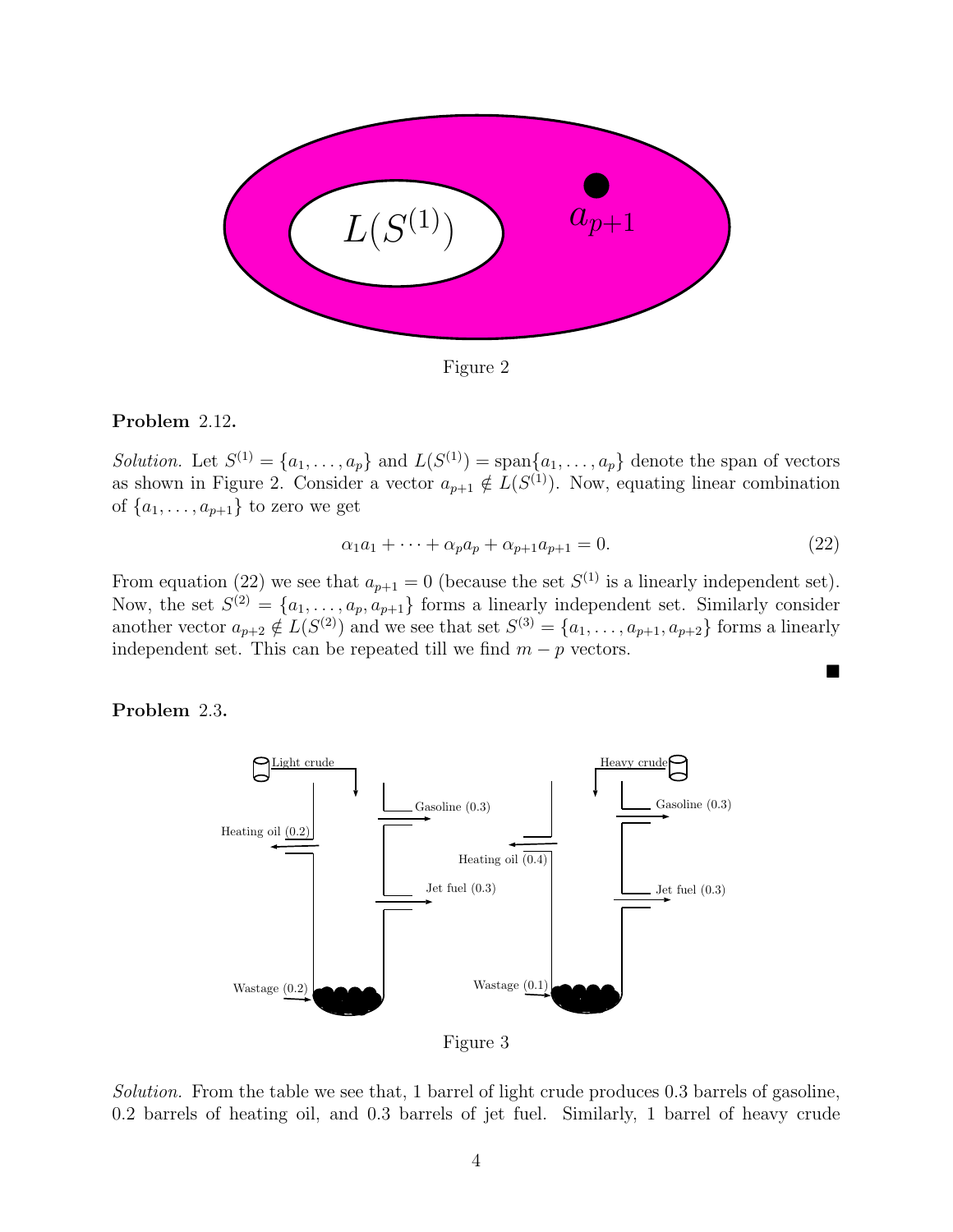

Figure 2

### Problem 2.12.

Solution. Let  $S^{(1)} = \{a_1, \ldots, a_p\}$  and  $L(S^{(1)}) = \text{span}\{a_1, \ldots, a_p\}$  denote the span of vectors as shown in Figure 2. Consider a vector  $a_{p+1} \notin L(S^{(1)})$ . Now, equating linear combination of  $\{a_1, \ldots, a_{p+1}\}\)$  to zero we get

$$
\alpha_1 a_1 + \dots + \alpha_p a_p + \alpha_{p+1} a_{p+1} = 0. \tag{22}
$$

■

From equation (22) we see that  $a_{p+1} = 0$  (because the set  $S^{(1)}$  is a linearly independent set). Now, the set  $S^{(2)} = \{a_1, \ldots, a_p, a_{p+1}\}\$ forms a linearly independent set. Similarly consider another vector  $a_{p+2} \notin L(S^{(2)})$  and we see that set  $S^{(3)} = \{a_1, \ldots, a_{p+1}, a_{p+2}\}\$  forms a linearly independent set. This can be repeated till we find  $m - p$  vectors.

Problem 2.3.



Figure 3

Solution. From the table we see that, 1 barrel of light crude produces 0.3 barrels of gasoline, 0.2 barrels of heating oil, and 0.3 barrels of jet fuel. Similarly, 1 barrel of heavy crude